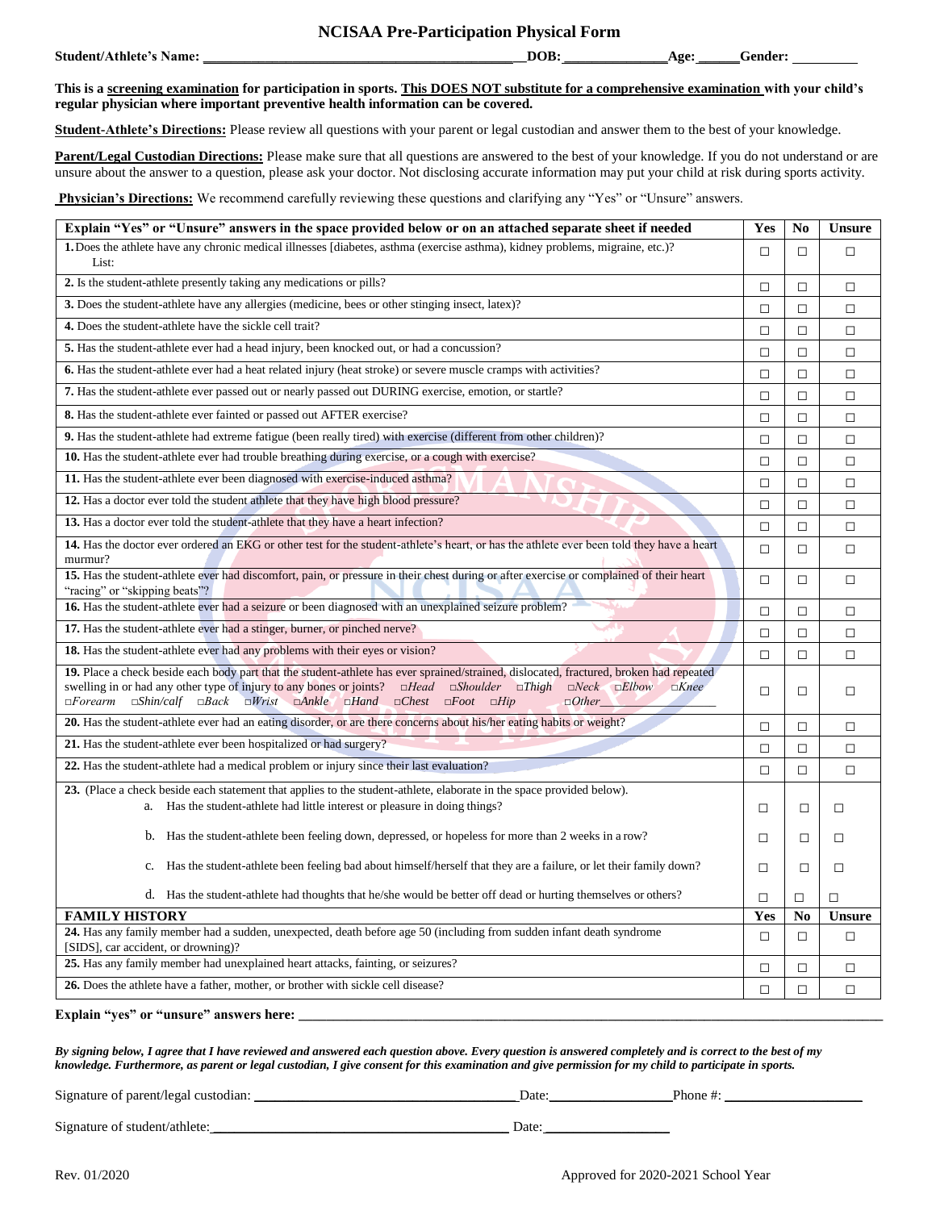## **NCISAA Pre-Participation Physical Form**

| Student/Athlete's<br>.vame• | $\sim$<br>_ | <b>OR</b><br>ື້ | Age <sup>.</sup> | ender: |
|-----------------------------|-------------|-----------------|------------------|--------|
|                             |             |                 |                  |        |

**This is a screening examination for participation in sports. This DOES NOT substitute for a comprehensive examination with your child's regular physician where important preventive health information can be covered.**

**Student-Athlete's Directions:** Please review all questions with your parent or legal custodian and answer them to the best of your knowledge.

**Parent/Legal Custodian Directions:** Please make sure that all questions are answered to the best of your knowledge. If you do not understand or are unsure about the answer to a question, please ask your doctor. Not disclosing accurate information may put your child at risk during sports activity.

**Physician's Directions:** We recommend carefully reviewing these questions and clarifying any "Yes" or "Unsure" answers.

| Explain "Yes" or "Unsure" answers in the space provided below or on an attached separate sheet if needed                                                                                                                                                                                                                                                                                                                                                                  |        |        | <b>Unsure</b> |
|---------------------------------------------------------------------------------------------------------------------------------------------------------------------------------------------------------------------------------------------------------------------------------------------------------------------------------------------------------------------------------------------------------------------------------------------------------------------------|--------|--------|---------------|
| 1. Does the athlete have any chronic medical illnesses [diabetes, asthma (exercise asthma), kidney problems, migraine, etc.)?<br>List:                                                                                                                                                                                                                                                                                                                                    | П      | П      | П             |
| 2. Is the student-athlete presently taking any medications or pills?                                                                                                                                                                                                                                                                                                                                                                                                      |        |        | $\Box$        |
| 3. Does the student-athlete have any allergies (medicine, bees or other stinging insect, latex)?                                                                                                                                                                                                                                                                                                                                                                          | $\Box$ | $\Box$ | $\Box$        |
| 4. Does the student-athlete have the sickle cell trait?                                                                                                                                                                                                                                                                                                                                                                                                                   | $\Box$ | $\Box$ | $\Box$        |
| 5. Has the student-athlete ever had a head injury, been knocked out, or had a concussion?                                                                                                                                                                                                                                                                                                                                                                                 | $\Box$ | $\Box$ | □             |
| 6. Has the student-athlete ever had a heat related injury (heat stroke) or severe muscle cramps with activities?                                                                                                                                                                                                                                                                                                                                                          | $\Box$ | $\Box$ | $\Box$        |
| 7. Has the student-athlete ever passed out or nearly passed out DURING exercise, emotion, or startle?                                                                                                                                                                                                                                                                                                                                                                     | $\Box$ | $\Box$ | $\Box$        |
| 8. Has the student-athlete ever fainted or passed out AFTER exercise?                                                                                                                                                                                                                                                                                                                                                                                                     | $\Box$ | $\Box$ | $\Box$        |
| 9. Has the student-athlete had extreme fatigue (been really tired) with exercise (different from other children)?                                                                                                                                                                                                                                                                                                                                                         | $\Box$ | $\Box$ | $\Box$        |
| 10. Has the student-athlete ever had trouble breathing during exercise, or a cough with exercise?                                                                                                                                                                                                                                                                                                                                                                         | $\Box$ | $\Box$ | $\Box$        |
| 11. Has the student-athlete ever been diagnosed with exercise-induced asthma?                                                                                                                                                                                                                                                                                                                                                                                             | $\Box$ | $\Box$ | $\Box$        |
| 12. Has a doctor ever told the student athlete that they have high blood pressure?                                                                                                                                                                                                                                                                                                                                                                                        | □      | $\Box$ | $\Box$        |
| 13. Has a doctor ever told the student-athlete that they have a heart infection?                                                                                                                                                                                                                                                                                                                                                                                          | $\Box$ | $\Box$ | $\Box$        |
| 14. Has the doctor ever ordered an EKG or other test for the student-athlete's heart, or has the athlete ever been told they have a heart<br>murmur?                                                                                                                                                                                                                                                                                                                      | П      | П      | $\Box$        |
| 15. Has the student-athlete ever had discomfort, pain, or pressure in their chest during or after exercise or complained of their heart<br>"racing" or "skipping beats"?                                                                                                                                                                                                                                                                                                  |        |        | $\Box$        |
| 16. Has the student-athlete ever had a seizure or been diagnosed with an unexplained seizure problem?                                                                                                                                                                                                                                                                                                                                                                     |        |        | □             |
| 17. Has the student-athlete ever had a stinger, burner, or pinched nerve?                                                                                                                                                                                                                                                                                                                                                                                                 |        |        | $\Box$        |
| 18. Has the student-athlete ever had any problems with their eyes or vision?                                                                                                                                                                                                                                                                                                                                                                                              |        |        | $\Box$        |
| 19. Place a check beside each body part that the student-athlete has ever sprained/strained, dislocated, fractured, broken had repeated<br>swelling in or had any other type of injury to any bones or joints? $\Box Head$ $\Box Shoulder$ $\Box Third$<br>$\square$ <i>Neck</i> $\square$ <i>Elbow</i><br>$\Box$ Knee<br>$\Box$ Shin/calf $\Box$ Back $\Box$ Wrist $\Box$ Ankle $\Box$ Hand $\Box$ Chest $\Box$ Foot $\Box$ Hip<br>$\Box$ <i>Forearm</i><br>$\Box$ Other |        |        | $\Box$        |
| 20. Has the student-athlete ever had an eating disorder, or are there concerns about his/her eating habits or weight?                                                                                                                                                                                                                                                                                                                                                     |        |        | $\Box$        |
| 21. Has the student-athlete ever been hospitalized or had surgery?                                                                                                                                                                                                                                                                                                                                                                                                        |        |        | $\Box$        |
| 22. Has the student-athlete had a medical problem or injury since their last evaluation?                                                                                                                                                                                                                                                                                                                                                                                  |        |        | $\Box$        |
| 23. (Place a check beside each statement that applies to the student-athlete, elaborate in the space provided below).<br>a. Has the student-athlete had little interest or pleasure in doing things?                                                                                                                                                                                                                                                                      | $\Box$ | $\Box$ | □             |
| b. Has the student-athlete been feeling down, depressed, or hopeless for more than 2 weeks in a row?                                                                                                                                                                                                                                                                                                                                                                      | П      | $\Box$ | □             |
| Has the student-athlete been feeling bad about himself/herself that they are a failure, or let their family down?<br>c.                                                                                                                                                                                                                                                                                                                                                   | $\Box$ | $\Box$ | $\Box$        |
| d. Has the student-athlete had thoughts that he/she would be better off dead or hurting themselves or others?                                                                                                                                                                                                                                                                                                                                                             | $\Box$ | □      | П             |
| <b>FAMILY HISTORY</b>                                                                                                                                                                                                                                                                                                                                                                                                                                                     |        |        | <b>Unsure</b> |
| 24. Has any family member had a sudden, unexpected, death before age 50 (including from sudden infant death syndrome<br>[SIDS], car accident, or drowning)?                                                                                                                                                                                                                                                                                                               |        |        | $\Box$        |
| 25. Has any family member had unexplained heart attacks, fainting, or seizures?                                                                                                                                                                                                                                                                                                                                                                                           | $\Box$ | $\Box$ | $\Box$        |
| 26. Does the athlete have a father, mother, or brother with sickle cell disease?                                                                                                                                                                                                                                                                                                                                                                                          |        |        | $\Box$        |

**Explain "yes" or "unsure" answers here: \_\_\_\_\_\_\_\_\_\_\_\_\_\_\_\_\_\_\_\_\_\_\_\_\_\_\_\_\_\_\_\_\_\_\_\_\_\_\_\_\_\_\_\_\_\_\_\_\_\_\_\_\_\_\_\_\_\_\_\_\_\_\_\_\_\_\_\_\_\_\_\_\_\_\_\_\_\_\_\_\_\_\_\_\_**

*By signing below, I agree that I have reviewed and answered each question above. Every question is answered completely and is correct to the best of my knowledge. Furthermore, as parent or legal custodian, I give consent for this examination and give permission for my child to participate in sports.*

Signature of parent/legal custodian: \_\_\_\_\_\_\_\_\_\_\_\_\_\_\_\_\_\_\_\_\_\_\_\_\_\_\_\_\_\_\_\_\_\_\_\_\_\_ Date:\_\_\_\_\_\_\_\_\_\_\_\_\_\_\_\_\_\_Phone #: \_\_\_\_\_\_\_\_\_\_\_\_\_\_\_\_\_\_\_\_

Signature of student/athlete: \_\_\_\_\_\_\_\_\_\_\_\_\_\_\_\_\_\_\_\_\_\_\_\_\_\_\_\_\_\_\_\_\_\_\_\_\_\_\_\_\_\_\_ Date: \_\_\_\_\_\_\_\_\_\_\_\_\_\_\_\_\_\_